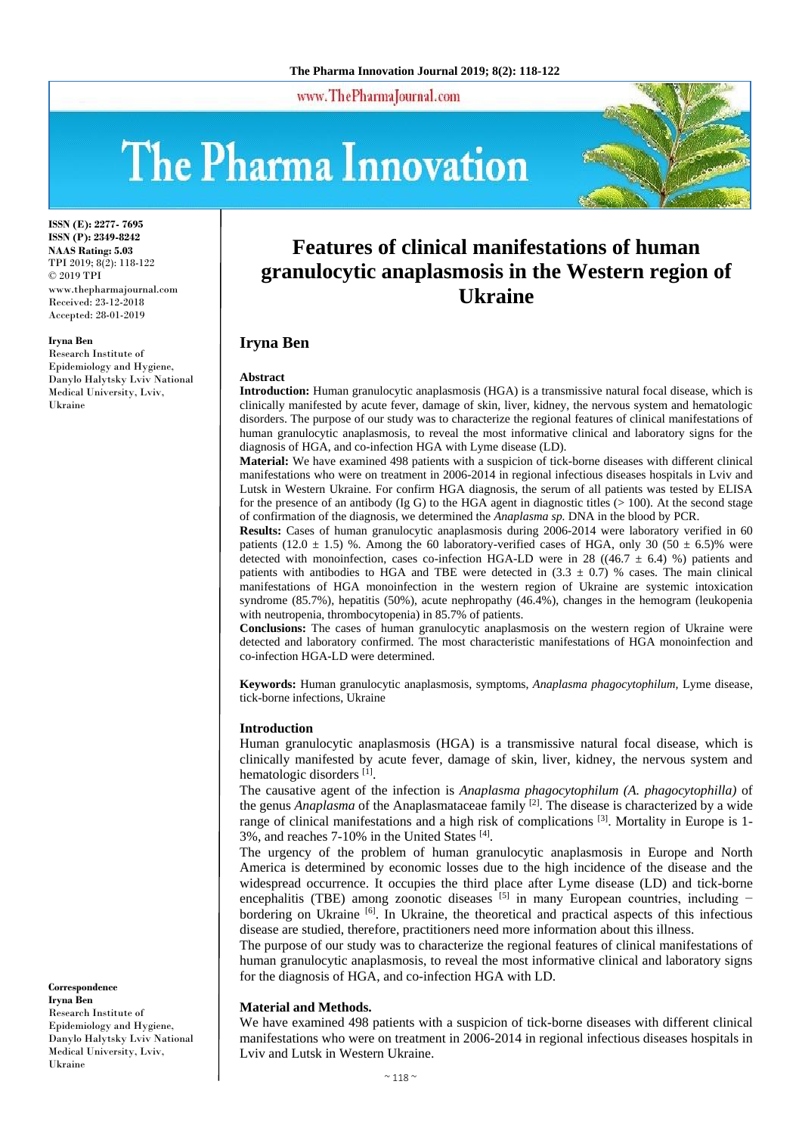www.ThePharmaJournal.com

# The Pharma Innovation



**ISSN (E): 2277- 7695 ISSN (P): 2349-8242 NAAS Rating: 5.03** TPI 2019; 8(2): 118-122 © 2019 TPI www.thepharmajournal.com Received: 23-12-2018 Accepted: 28-01-2019

**Iryna Ben**

Research Institute of Epidemiology and Hygiene, Danylo Halytsky Lviv National Medical University, Lviv, Ukraine

# **Features of clinical manifestations of human granulocytic anaplasmosis in the Western region of Ukraine**

## **Iryna Ben**

#### **Abstract**

**Introduction:** Human granulocytic anaplasmosis (HGA) is a transmissive natural focal disease, which is clinically manifested by acute fever, damage of skin, liver, kidney, the nervous system and hematologic disorders. The purpose of our study was to characterize the regional features of clinical manifestations of human granulocytic anaplasmosis, to reveal the most informative clinical and laboratory signs for the diagnosis of HGA, and co-infection HGA with Lyme disease (LD).

**Material:** We have examined 498 patients with a suspicion of tick-borne diseases with different clinical manifestations who were on treatment in 2006-2014 in regional infectious diseases hospitals in Lviv and Lutsk in Western Ukraine. For confirm HGA diagnosis, the serum of all patients was tested by ELISA for the presence of an antibody (Ig G) to the HGA agent in diagnostic titles  $(>100)$ . At the second stage of confirmation of the diagnosis, we determined the *Anaplasma sp.* DNA in the blood by PCR.

**Results:** Cases of human granulocytic anaplasmosis during 2006-2014 were laboratory verified in 60 patients (12.0  $\pm$  1.5) %. Among the 60 laboratory-verified cases of HGA, only 30 (50  $\pm$  6.5)% were detected with monoinfection, cases co-infection HGA-LD were in 28 ((46.7  $\pm$  6.4) %) patients and patients with antibodies to HGA and TBE were detected in  $(3.3 \pm 0.7)$  % cases. The main clinical manifestations of HGA monoinfection in the western region of Ukraine are systemic intoxication syndrome (85.7%), hepatitis (50%), acute nephropathy (46.4%), changes in the hemogram (leukopenia with neutropenia, thrombocytopenia) in 85.7% of patients.

**Conclusions:** The cases of human granulocytic anaplasmosis on the western region of Ukraine were detected and laboratory confirmed. The most characteristic manifestations of HGA monoinfection and co-infection HGA-LD were determined.

**Keywords:** Human granulocytic anaplasmosis, symptoms, *Anaplasma phagocytophilum,* Lyme disease, tick-borne infections, Ukraine

#### **Introduction**

Human granulocytic anaplasmosis (HGA) is a transmissive natural focal disease, which is clinically manifested by acute fever, damage of skin, liver, kidney, the nervous system and hematologic disorders [1].

The causative agent of the infection is *Anaplasma phagocytophilum (A. phagocytophilla)* of the genus *Anaplasma* of the Anaplasmataceae family [2]. The disease is characterized by a wide range of clinical manifestations and a high risk of complications <sup>[3]</sup>. Mortality in Europe is 1-3%, and reaches 7-10% in the United States [4] .

The urgency of the problem of human granulocytic anaplasmosis in Europe and North America is determined by economic losses due to the high incidence of the disease and the widespread occurrence. It occupies the third place after Lyme disease (LD) and tick-borne encephalitis (TBE) among zoonotic diseases [5] in many European countries, including − bordering on Ukraine [6]. In Ukraine, the theoretical and practical aspects of this infectious disease are studied, therefore, practitioners need more information about this illness.

The purpose of our study was to characterize the regional features of clinical manifestations of human granulocytic anaplasmosis, to reveal the most informative clinical and laboratory signs for the diagnosis of HGA, and co-infection HGA with LD.

#### **Material and Methods.**

We have examined 498 patients with a suspicion of tick-borne diseases with different clinical manifestations who were on treatment in 2006-2014 in regional infectious diseases hospitals in Lviv and Lutsk in Western Ukraine.

**Iryna Ben** Research Institute of Epidemiology and Hygiene, Danylo Halytsky Lviv National Medical University, Lviv, Ukraine

**Correspondence**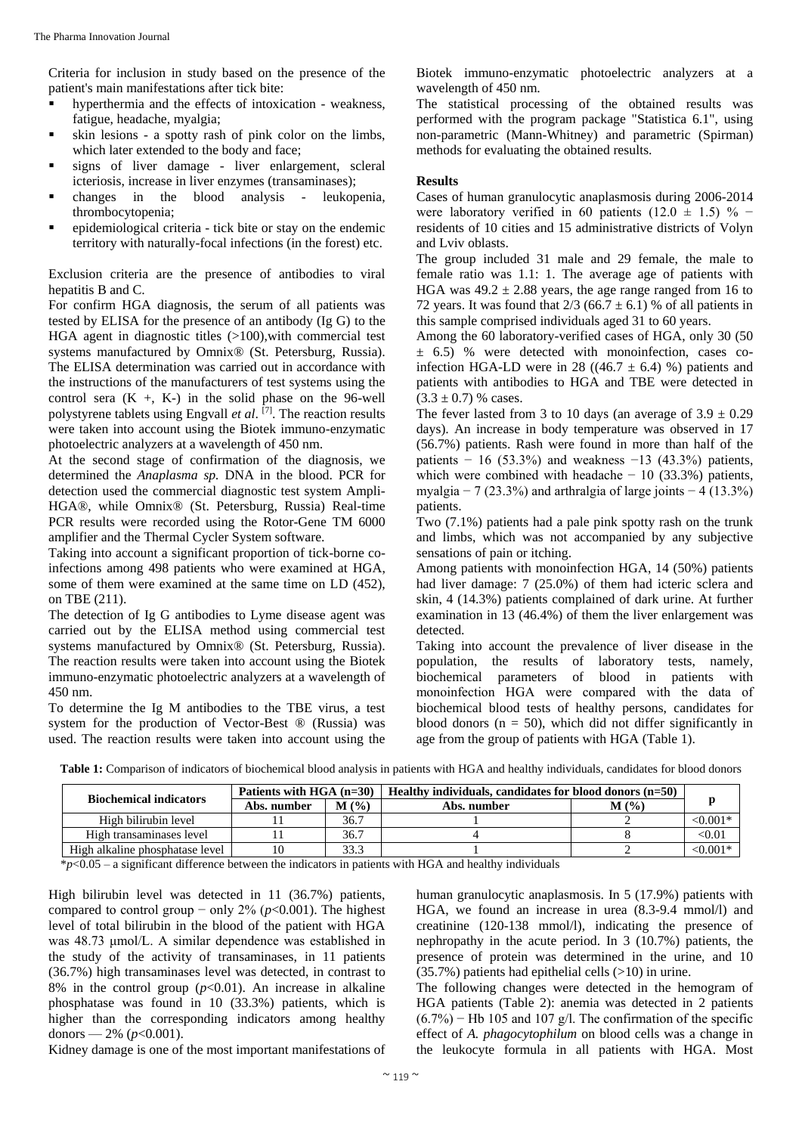Criteria for inclusion in study based on the presence of the patient's main manifestations after tick bite:

- hyperthermia and the effects of intoxication weakness, fatigue, headache, myalgia;
- skin lesions a spotty rash of pink color on the limbs, which later extended to the body and face;
- signs of liver damage liver enlargement, scleral icteriosis, increase in liver enzymes (transaminases);
- changes in the blood analysis leukopenia, thrombocytopenia;
- epidemiological criteria tick bite or stay on the endemic territory with naturally-focal infections (in the forest) etc.

Exclusion criteria are the presence of antibodies to viral hepatitis B and C.

For confirm HGA diagnosis, the serum of all patients was tested by ELISA for the presence of an antibody (Ig G) to the HGA agent in diagnostic titles (>100),with commercial test systems manufactured by Omnix® (St. Petersburg, Russia). The ELISA determination was carried out in accordance with the instructions of the manufacturers of test systems using the control sera  $(K + K)$  in the solid phase on the 96-well polystyrene tablets using Engvall *et al*. [7]. The reaction results were taken into account using the Вiotek immuno-enzymatic photoelectric analyzers at a wavelength of 450 nm.

At the second stage of confirmation of the diagnosis, we determined the *Anaplasma sp.* DNA in the blood. PCR for detection used the commercial diagnostic test system Ampli-HGA®, while Omnix® (St. Petersburg, Russia) Real-time PCR results were recorded using the Rotor-Gene TM 6000 amplifier and the Thermal Cycler System software.

Taking into account a significant proportion of tick-borne coinfections among 498 patients who were examined at HGA, some of them were examined at the same time on LD (452), on TBE (211).

The detection of Ig G antibodies to Lyme disease agent was carried out by the ELISA method using commercial test systems manufactured by Omnix<sup>®</sup> (St. Petersburg, Russia). The reaction results were taken into account using the Вiotek immuno-enzymatic photoelectric analyzers at a wavelength of 450 nm.

To determine the Ig M antibodies to the TBE virus, a test system for the production of Vector-Best ® (Russia) was used. The reaction results were taken into account using the Вiotek immuno-enzymatic photoelectric analyzers at a wavelength of 450 nm.

The statistical processing of the obtained results was performed with the program package "Statistica 6.1", using non-parametric (Mann-Whitney) and parametric (Spirman) methods for evaluating the obtained results.

#### **Results**

Cases of human granulocytic anaplasmosis during 2006-2014 were laboratory verified in 60 patients (12.0  $\pm$  1.5) % − residents of 10 cities and 15 administrative districts of Volyn and Lviv oblasts.

The group included 31 male and 29 female, the male to female ratio was 1.1: 1. The average age of patients with HGA was  $49.2 \pm 2.88$  years, the age range ranged from 16 to 72 years. It was found that  $2/3$  (66.7  $\pm$  6.1) % of all patients in this sample comprised individuals aged 31 to 60 years.

Among the 60 laboratory-verified cases of HGA, only 30 (50  $\pm$  6.5) % were detected with monoinfection, cases coinfection HGA-LD were in 28 ((46.7  $\pm$  6.4) %) patients and patients with antibodies to HGA and TBE were detected in  $(3.3 \pm 0.7)$  % cases.

The fever lasted from 3 to 10 days (an average of  $3.9 \pm 0.29$ ) days). An increase in body temperature was observed in 17 (56.7%) patients. Rash were found in more than half of the patients − 16 (53.3%) and weakness −13 (43.3%) patients, which were combined with headache  $-10$  (33.3%) patients, myalgia − 7 (23.3%) and arthralgia of large joints − 4 (13.3%) patients.

Two (7.1%) patients had a pale pink spotty rash on the trunk and limbs, which was not accompanied by any subjective sensations of pain or itching.

Among patients with monoinfection HGA, 14 (50%) patients had liver damage: 7 (25.0%) of them had icteric sclera and skin, 4 (14.3%) patients complained of dark urine. At further examination in 13 (46.4%) of them the liver enlargement was detected.

Taking into account the prevalence of liver disease in the population, the results of laboratory tests, namely, biochemical parameters of blood in patients with monoinfection НGA were compared with the data of biochemical blood tests of healthy persons, candidates for blood donors ( $n = 50$ ), which did not differ significantly in age from the group of patients with HGA (Table 1).

| <b>Biochemical indicators</b>   | Patients with HGA $(n=30)$ |         | Healthy individuals, candidates for blood donors (n=50) |  |               |
|---------------------------------|----------------------------|---------|---------------------------------------------------------|--|---------------|
|                                 | Abs. number                | $M($ %) | $M($ %)<br>Abs. number                                  |  |               |
| High bilirubin level            |                            | 36.7    |                                                         |  | $< 0.001*$    |
| High transaminases level        |                            | 36.7    |                                                         |  | $<$ 0.01 $\,$ |
| High alkaline phosphatase level |                            | 33.3    |                                                         |  | $< 0.001*$    |

**Table 1:** Comparison of indicators of biochemical blood analysis in patients with HGA and healthy individuals, candidates for blood donors

\**p*<0.05 – a significant difference between the indicators in patients with HGA and healthy individuals

High bilirubin level was detected in 11 (36.7%) patients, compared to control group − only 2% (*p*<0.001). The highest level of total bilirubin in the blood of the patient with HGA was 48.73 μmol/L. A similar dependence was established in the study of the activity of transaminases, in 11 patients (36.7%) high transaminases level was detected, in contrast to 8% in the control group  $(p<0.01)$ . An increase in alkaline phosphatase was found in 10 (33.3%) patients, which is higher than the corresponding indicators among healthy donors —  $2\%$  ( $p<0.001$ ).

human granulocytic anaplasmosis. In 5 (17.9%) patients with HGA, we found an increase in urea (8.3-9.4 mmol/l) and creatinine (120-138 mmol/l), indicating the presence of nephropathy in the acute period. In 3 (10.7%) patients, the presence of protein was determined in the urine, and 10 (35.7%) patients had epithelial cells (>10) in urine.

The following changes were detected in the hemogram of HGA patients (Table 2): anemia was detected in 2 patients  $(6.7\%)$  – Hb 105 and 107 g/l. The confirmation of the specific effect of *A. phagocytophilum* on blood cells was a change in the leukocyte formula in all patients with HGA. Most

Kidney damage is one of the most important manifestations of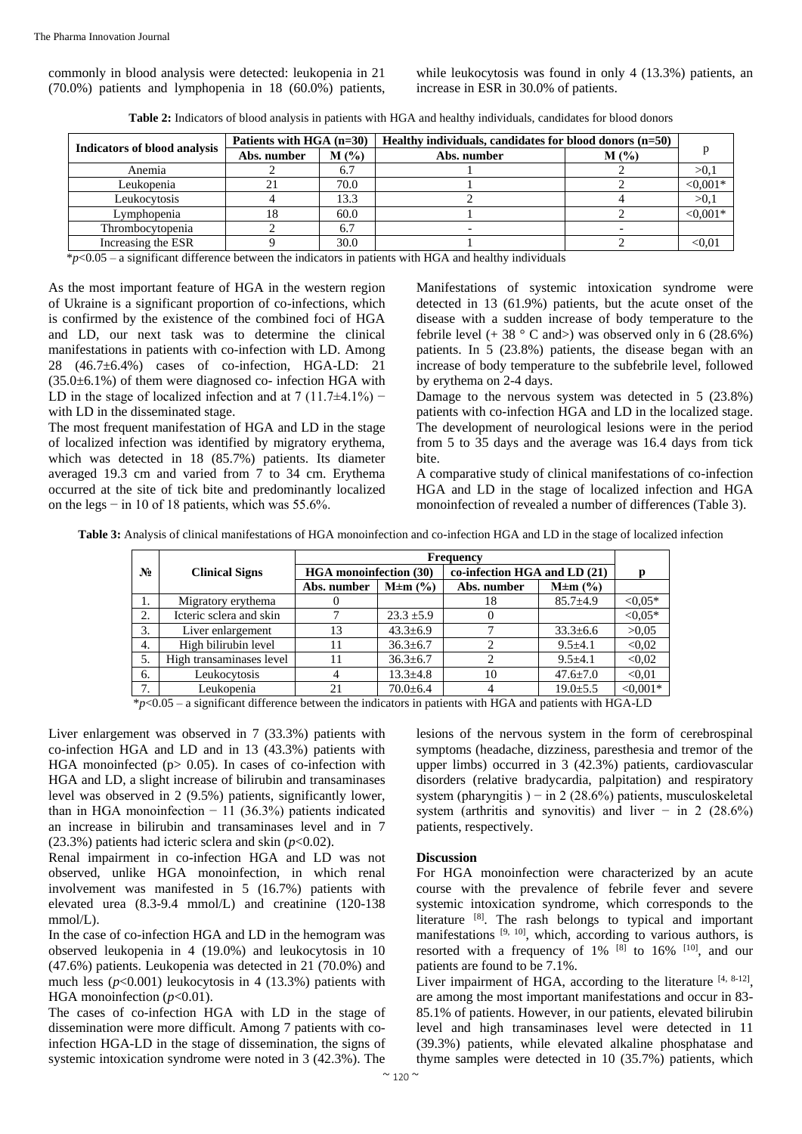commonly in blood analysis were detected: leukopenia in 21 (70.0%) patients and lymphopenia in 18 (60.0%) patients,

while leukocytosis was found in only 4 (13.3%) patients, an increase in ESR in 30.0% of patients.

| <b>Table 2:</b> Indicators of blood analysis in patients with HGA and healthy individuals, candidates for blood donors |  |  |
|------------------------------------------------------------------------------------------------------------------------|--|--|
|                                                                                                                        |  |  |

|                              | Patients with HGA $(n=30)$ |         | Healthy individuals, candidates for blood donors $(n=50)$ |         |            |
|------------------------------|----------------------------|---------|-----------------------------------------------------------|---------|------------|
| Indicators of blood analysis | Abs. number                | $M(\%)$ | Abs. number                                               | $M(\%)$ |            |
| Anemia                       |                            | 6.7     |                                                           |         | >0,1       |
| Leukopenia                   |                            | 70.0    |                                                           |         | $< 0.001*$ |
| Leukocytosis                 |                            | 13.3    |                                                           |         | >0,1       |
| Lymphopenia                  |                            | 60.0    |                                                           |         | $< 0.001*$ |
| Thrombocytopenia             |                            |         |                                                           |         |            |
| Increasing the ESR           |                            | 30.0    |                                                           |         | < 0.01     |

\**p*<0.05 – a significant difference between the indicators in patients with HGA and healthy individuals

As the most important feature of HGA in the western region of Ukraine is a significant proportion of co-infections, which is confirmed by the existence of the combined foci of HGA and LD, our next task was to determine the clinical manifestations in patients with co-infection with LD. Among 28 (46.7±6.4%) cases of co-infection, HGA-LD: 21  $(35.0\pm6.1\%)$  of them were diagnosed co- infection HGA with LD in the stage of localized infection and at 7 (11.7 $\pm$ 4.1%) − with LD in the disseminated stage.

The most frequent manifestation of HGA and LD in the stage of localized infection was identified by migratory erythema, which was detected in 18 (85.7%) patients. Its diameter averaged 19.3 cm and varied from 7 to 34 cm. Erythema occurred at the site of tick bite and predominantly localized on the legs  $-$  in 10 of 18 patients, which was 55.6%.

Manifestations of systemic intoxication syndrome were detected in 13 (61.9%) patients, but the acute onset of the disease with a sudden increase of body temperature to the febrile level  $(+ 38 \degree C \text{ and}$ ) was observed only in 6 (28.6%) patients. In 5 (23.8%) patients, the disease began with an increase of body temperature to the subfebrile level, followed by erythema on 2-4 days.

Damage to the nervous system was detected in 5 (23.8%) patients with co-infection HGA and LD in the localized stage. The development of neurological lesions were in the period from 5 to 35 days and the average was 16.4 days from tick bite.

A comparative study of clinical manifestations of co-infection HGA and LD in the stage of localized infection and HGA monoinfection of revealed a number of differences (Table 3).

**Table 3:** Analysis of clinical manifestations of HGA monoinfection and co-infection HGA and LD in the stage of localized infection

|       | <b>Frequency</b>         |                        |                |                              |                |            |
|-------|--------------------------|------------------------|----------------|------------------------------|----------------|------------|
| $N_2$ | <b>Clinical Signs</b>    | HGA monoinfection (30) |                | co-infection HGA and LD (21) |                | р          |
|       |                          | Abs. number            | $M \pm m$ (%)  | Abs. number                  | $M \pm m$ (%)  |            |
| 1.    | Migratory erythema       |                        |                | 18                           | $85.7 \pm 4.9$ | $< 0.05*$  |
| 2.    | Icteric sclera and skin  |                        | $23.3 \pm 5.9$ |                              |                | $< 0.05*$  |
| 3.    | Liver enlargement        | 13                     | $43.3 \pm 6.9$ |                              | $33.3 \pm 6.6$ | >0.05      |
| 4.    | High bilirubin level     | 11                     | $36.3 \pm 6.7$ |                              | $9.5 \pm 4.1$  | < 0.02     |
| 5.    | High transaminases level | 11                     | $36.3 \pm 6.7$ |                              | $9.5 \pm 4.1$  | < 0.02     |
| 6.    | Leukocytosis             | 4                      | $13.3 \pm 4.8$ | 10                           | $47.6 \pm 7.0$ | < 0.01     |
| 7.    | Leukopenia               | 21                     | $70.0 \pm 6.4$ |                              | $19.0 \pm 5.5$ | $< 0.001*$ |

\**p*<0.05 – a significant difference between the indicators in patients with HGA and patients with HGA-LD

Liver enlargement was observed in 7 (33.3%) patients with co-infection HGA and LD and in 13 (43.3%) patients with HGA monoinfected ( $p$  > 0.05). In cases of co-infection with HGA and LD, a slight increase of bilirubin and transaminases level was observed in 2 (9.5%) patients, significantly lower, than in HGA monoinfection  $-11$  (36.3%) patients indicated an increase in bilirubin and transaminases level and in 7  $(23.3\%)$  patients had icteric sclera and skin  $(p<0.02)$ .

Renal impairment in co-infection HGA and LD was not observed, unlike HGA monoinfection, in which renal involvement was manifested in 5 (16.7%) patients with elevated urea (8.3-9.4 mmol/L) and creatinine (120-138 mmol/L).

In the case of co-infection HGA and LD in the hemogram was observed leukopenia in 4 (19.0%) and leukocytosis in 10 (47.6%) patients. Leukopenia was detected in 21 (70.0%) and much less  $(p<0.001)$  leukocytosis in 4 (13.3%) patients with HGA monoinfection ( $p$ <0.01).

The cases of co-infection HGA with LD in the stage of dissemination were more difficult. Among 7 patients with coinfection HGA-LD in the stage of dissemination, the signs of systemic intoxication syndrome were noted in 3 (42.3%). The lesions of the nervous system in the form of cerebrospinal symptoms (headache, dizziness, paresthesia and tremor of the upper limbs) occurred in 3 (42.3%) patients, cardiovascular disorders (relative bradycardia, palpitation) and respiratory system (pharyngitis ) – in 2 (28.6%) patients, musculoskeletal system (arthritis and synovitis) and liver  $-$  in 2 (28.6%) patients, respectively.

#### **Discussion**

For HGA monoinfection were characterized by an acute course with the prevalence of febrile fever and severe systemic intoxication syndrome, which corresponds to the literature [8]. The rash belongs to typical and important manifestations  $[9, 10]$ , which, according to various authors, is resorted with a frequency of  $1\%$  <sup>[8]</sup> to  $16\%$  <sup>[10]</sup>, and our patients are found to be 7.1%.

Liver impairment of HGA, according to the literature  $[4, 8-12]$ , are among the most important manifestations and occur in 83- 85.1% of patients. However, in our patients, elevated bilirubin level and high transaminases level were detected in 11 (39.3%) patients, while elevated alkaline phosphatase and thyme samples were detected in 10 (35.7%) patients, which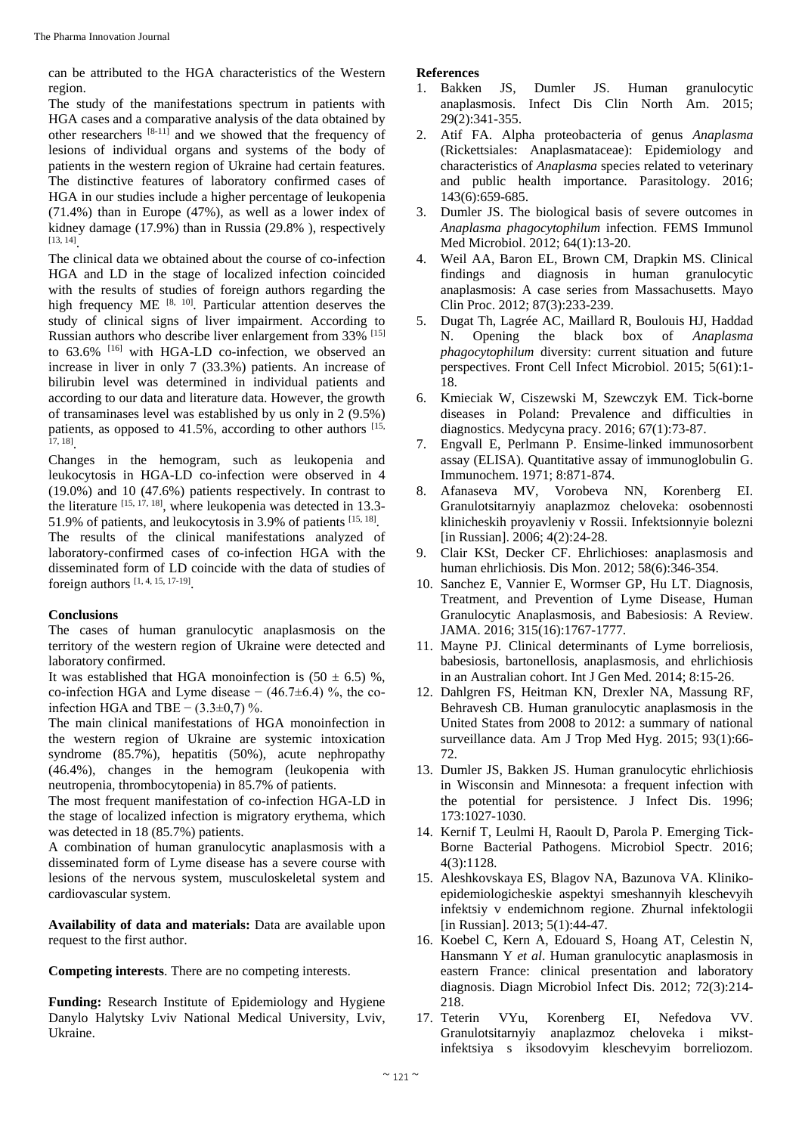can be attributed to the HGA characteristics of the Western region.

The study of the manifestations spectrum in patients with HGA cases and a comparative analysis of the data obtained by other researchers  $[8-11]$  and we showed that the frequency of lesions of individual organs and systems of the body of patients in the western region of Ukraine had certain features. The distinctive features of laboratory confirmed cases of HGA in our studies include a higher percentage of leukopenia (71.4%) than in Europe (47%), as well as a lower index of kidney damage (17.9%) than in Russia (29.8% ), respectively [13, 14] .

The clinical data we obtained about the course of co-infection HGA and LD in the stage of localized infection coincided with the results of studies of foreign authors regarding the high frequency ME [8, 10]. Particular attention deserves the study of clinical signs of liver impairment. According to Russian authors who describe liver enlargement from 33% [15] to 63.6% [16] with HGA-LD co-infection, we observed an increase in liver in only 7 (33.3%) patients. An increase of bilirubin level was determined in individual patients and according to our data and literature data. However, the growth of transaminases level was established by us only in 2 (9.5%) patients, as opposed to  $41.5\%$ , according to other authors  $[15, 10]$ 17, 18] .

Changes in the hemogram, such as leukopenia and leukocytosis in HGA-LD co-infection were observed in 4 (19.0%) and 10 (47.6%) patients respectively. In contrast to the literature  $^{[15, 17, 18]}$ , where leukopenia was detected in 13.3-51.9% of patients, and leukocytosis in 3.9% of patients [15, 18].

The results of the clinical manifestations analyzed of laboratory-confirmed cases of co-infection HGA with the disseminated form of LD coincide with the data of studies of foreign authors  $[1, 4, 15, 17-19]$ .

# **Conclusions**

The cases of human granulocytic anaplasmosis on the territory of the western region of Ukraine were detected and laboratory confirmed.

It was established that HGA monoinfection is  $(50 \pm 6.5)$  %, co-infection HGA and Lyme disease  $- (46.7 \pm 6.4)$  %, the coinfection HGA and TBE  $-$  (3.3±0,7) %.

The main clinical manifestations of HGA monoinfection in the western region of Ukraine are systemic intoxication syndrome (85.7%), hepatitis (50%), acute nephropathy (46.4%), changes in the hemogram (leukopenia with neutropenia, thrombocytopenia) in 85.7% of patients.

The most frequent manifestation of co-infection HGA-LD in the stage of localized infection is migratory erythema, which was detected in 18 (85.7%) patients.

A combination of human granulocytic anaplasmosis with a disseminated form of Lyme disease has a severe course with lesions of the nervous system, musculoskeletal system and cardiovascular system.

**Availability of data and materials:** Data are available upon request to the first author.

**Competing interests**. There are no competing interests.

**Funding:** Research Institute of Epidemiology and Hygiene Danylo Halytsky Lviv National Medical University, Lviv, Ukraine.

# **References**

- 1. Bakken JS, Dumler JS. Human granulocytic anaplasmosis. Infect Dis Clin North Am. 2015; 29(2):341-355.
- 2. Atif FA. Alpha proteobacteria of genus *Anaplasma* (Rickettsiales: Anaplasmataceae): Epidemiology and characteristics of *Anaplasma* species related to veterinary and public health importance. Parasitology. 2016; 143(6):659-685.
- 3. Dumler JS. The biological basis of severe outcomes in *Anaplasma phagocytophilum* infection. FEMS Immunol Med Microbiol. 2012; 64(1):13-20.
- 4. Weil AA, Baron EL, Brown CM, Drapkin MS. Clinical findings and diagnosis in human granulocytic anaplasmosis: A case series from Massachusetts. Mayo Clin Proc. 2012; 87(3):233-239.
- 5. Dugat Th, Lagrée AC, Maillard R, Boulouis HJ, Haddad N. Opening the black box of *Anaplasma phagocytophilum* diversity: current situation and future perspectives. Front Cell Infect Microbiol. 2015; 5(61):1- 18.
- 6. Kmieciak W, Ciszewski M, Szewczyk EM. Tick-borne diseases in Poland: Prevalence and difficulties in diagnostics. Medycyna pracy. 2016; 67(1):73-87.
- 7. Engvall E, Perlmann P. Ensime-linked immunosorbent assay (ELISA). Quantitative assay of immunoglobulin G. Immunochem. 1971; 8:871-874.
- 8. Afanaseva MV, Vorobeva NN, Korenberg EI. Granulotsitarnyiy anaplazmoz cheloveka: osobennosti klinicheskih proyavleniy v Rossii. Infektsionnyie bolezni [in Russian]. 2006; 4(2):24-28.
- 9. Clair KSt, Decker CF. Ehrlichioses: anaplasmosis and human ehrlichiosis. Dis Mon. 2012; 58(6):346-354.
- 10. Sanchez E, Vannier E, Wormser GP, Hu LT. Diagnosis, Treatment, and Prevention of Lyme Disease, Human Granulocytic Anaplasmosis, and Babesiosis: A Review. JAMA. 2016; 315(16):1767-1777.
- 11. Mayne PJ. Clinical determinants of Lyme borreliosis, babesiosis, bartonellosis, anaplasmosis, and ehrlichiosis in an Australian cohort. Int J Gen Med. 2014; 8:15-26.
- 12. Dahlgren FS, Heitman KN, Drexler NA, Massung RF, Behravesh CB. Human granulocytic anaplasmosis in the United States from 2008 to 2012: a summary of national surveillance data. Am J Trop Med Hyg. 2015; 93(1):66- 72.
- 13. Dumler JS, Bakken JS. Human granulocytic ehrlichiosis in Wisconsin and Minnesota: a frequent infection with the potential for persistence. J Infect Dis. 1996; 173:1027-1030.
- 14. Kernif T, Leulmi H, Raoult D, Parola P. Emerging Tick-Borne Bacterial Pathogens. Microbiol Spectr. 2016; 4(3):1128.
- 15. Aleshkovskaya ES, Blagov NA, Bazunova VA. Klinikoepidemiologicheskie aspektyi smeshannyih kleschevyih infektsiy v endemichnom regione. Zhurnal infektologii [in Russian]. 2013; 5(1):44-47.
- 16. Koebel C, Kern A, Edouard S, Hoang AT, Celestin N, Hansmann Y *et al*. Human granulocytic anaplasmosis in eastern France: clinical presentation and laboratory diagnosis. Diagn Microbiol Infect Dis. 2012; 72(3):214- 218.
- 17. Teterin VYu, Korenberg EI, Nefedova VV. Granulotsitarnyiy anaplazmoz cheloveka i mikstinfektsiya s iksodovyim kleschevyim borreliozom.